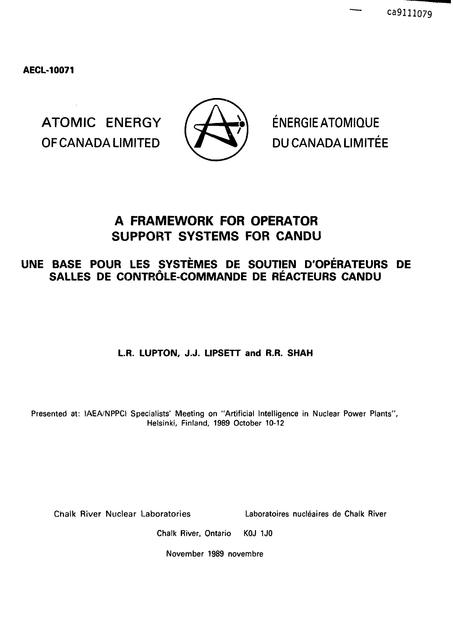**AECL-10071**

ATOMIC ENERGY  $\left(\frac{1}{2} \sum_{i=1}^{N} \right)$  ENERGIEATOMIQUE OF CANADA LIMITED  $\sqrt{ }$   $\rightarrow$  / DU CANADA LIMITÉE



# **A FRAMEWORK FOR OPERATOR SUPPORT SYSTEMS FOR CANDU**

# **UNE BASE POUR LES SYSTEMES DE SOUTIEN D'OPERATEURS DE** SALLES DE CONTRÔLE-COMMANDE DE RÉACTEURS CANDU

# L.R. LUPTON, J.J. LIPSETT and R.R. SHAH

Presented at: IAEA/NPPCI Specialists' Meeting on "Artificial Intelligence in Nuclear Power Plants", Helsinki, Finland, 1989 October 10-12

Chalk River Nuclear Laboratories Laboratoires nucleates de Chalk River

Chalk River, Ontario KOJ 1J0

November 1989 novembre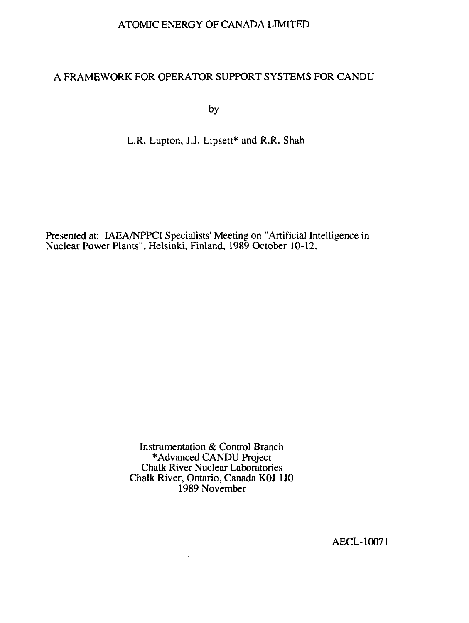#### ATOMIC ENERGY OF CANADA LIMITED

#### A FRAMEWORK FOR OPERATOR SUPPORT SYSTEMS FOR CANDU

by

#### L.R. Lupton, J.J. Lipsett\* and R.R. Shah

Presented at: IAEA/NPPCI Specialists' Meeting on "Artificial Intelligence in Nuclear Power Plants", Helsinki, Finland, 1989 October 10-12.

> Instrumentation & Control Branch •Advanced CANDU Project Chalk River Nuclear Laboratories Chalk River, Ontario, Canada KOJ 1J0 1989 November

> > $\ddot{\phantom{0}}$

AECL-10071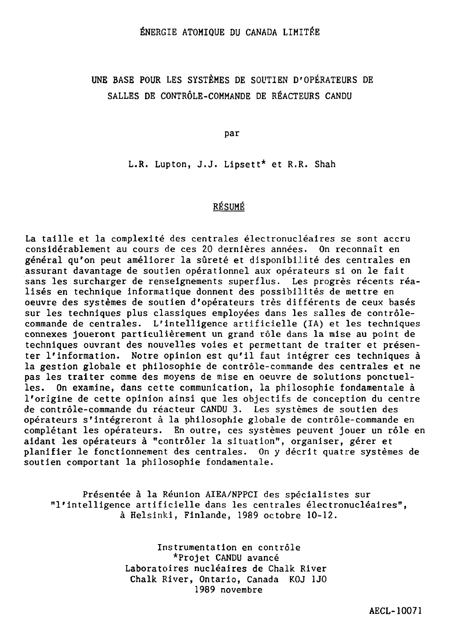# UNE BASE POUR LES SYSTÈMES DE SOUTIEN D'OPÉRATEURS DE SALLES DE CONTRÔLE-COMMANDE DE RÉACTEURS CANDU

par

L.R. Lupton, J.J. Lipsett\* et R.R. Shah

#### RÉSUMÉ

La taille et la complexité des centrales électronucléaires se sont accru considérablement au cours de ces 20 dernières années. On reconnaît en général qu'on peut améliorer la sûreté et disponibilité des centrales en assurant davantage de soutien opérationnel aux opérateurs si on le fait sans les surcharger de renseignements superflus. Les progrès récents réalisés en technique informatique donnent des possibilités de mettre en oeuvre des systèmes de soutien d'opérateurs très différents de ceux basés sur les techniques plus classiques employées dans les salles de contrôlecommande de centrales. L'intelligence artificielle (IA) et les techniques connexes joueront particulièrement un grand rôle dans la mise au point de techniques ouvrant des nouvelles voies et permettant de traiter et présenter l'information. Notre opinion est qu'il faut intégrer ces techniques à la gestion globale et philosophie de contrôle-commande des centrales et ne pas les traiter comme des moyens de mise en oeuvre de solutions ponctuelles. On examine, dans cette communication, la philosophie fondamentale à l'origine de cette opinion ainsi que les objectifs de conception du centre de contrôle-commande du réacteur CANDU 3. Les systèmes de soutien des opérateurs s'intégreront à la philosophie globale de contrôle-commande en complétant les opérateurs. En outre, ces systèmes peuvent jouer un rôle en aidant les opérateurs à "contrôler la situation", organiser, gérer et planifier le fonctionnement des centrales. On y décrit quatre systèmes de soutien comportant la philosophie fondamentale.

Présentée à la Réunion AIEA/NPPCI des spécialistes sur "l'intelligence artificielle dans les centrales électronucléaires", à Helsinki, Finlande, 1989 octobre 10-12.

> Instrumentation en contrôle \*Projet CANDU avancé Laboratoires nucléaires de Chalk. River Chalk River, Ontario, Canada KOJ 1J0 1989 novembre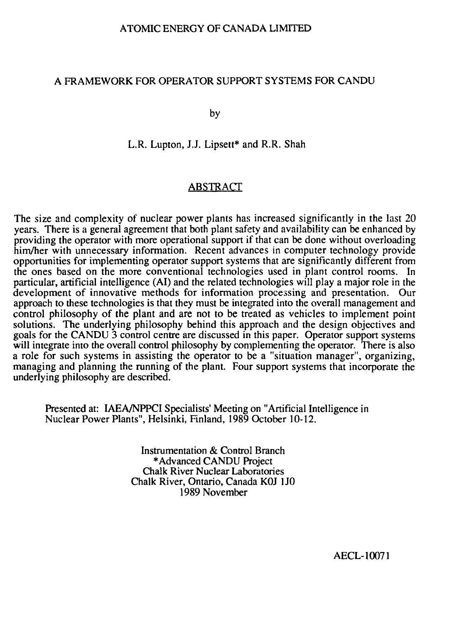#### ATOMIC ENERGY OF CANADA LIMITED

#### A FRAMEWORK FOR OPERATOR SUPPORT SYSTEMS FOR CANDU

by

L.R. Lupton, J.J. Lipsett\* and R.R. Shah

#### ABSTRACT

The size and complexity of nuclear power plants has increased significantly in the last 20 years. There is a general agreement that both plant safety and availability can be enhanced by providing the operator with more operational support if that can be done without overloading him/her with unnecessary information. Recent advances in computer technology provide opportunities for implementing operator support systems that are significantly different from the ones based on the more conventional technologies used in plant control rooms. In particular, artificial intelligence (AI) and the related technologies will play a major role in the development of innovative methods for information processing and presentation. Our approach to these technologies is that they must be integrated into the overall management and control philosophy of the plant and are not to be treated as vehicles to implement point solutions. The underlying philosophy behind this approach and the design objectives and goals for the CANDU 3 control centre are discussed in this paper. Operator support systems will integrate into the overall control philosophy by complementing the operator. There is also a role for such systems in assisting the operator to be a "situation manager", organizing, managing and planning the running of the plant. Four support systems that incorporate the underlying philosophy are described.

Presented at: IAEA/NPPCI Specialists' Meeting on "Artificial Intelligence in Nuclear Power Plants", Helsinki, Finland, 1989 October 10-12.

> Instrumentation & Control Branch •Advanced CANDU Project Chalk River Nuclear Laboratories Chalk River, Ontario, Canada KOJ 1J0 1989 November

> > AECL-10071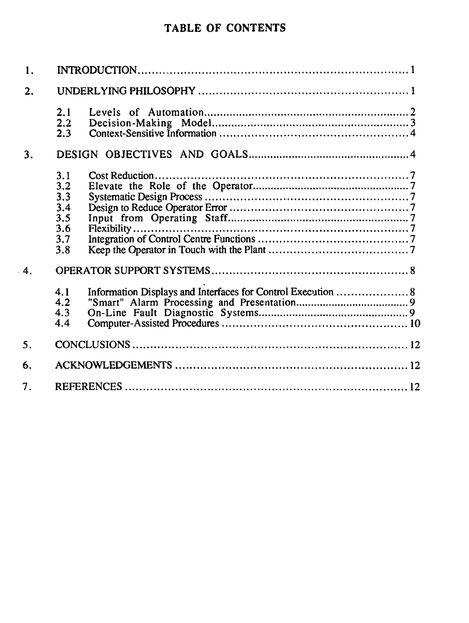# **TABLE OF CONTENTS**

| 1.               |                                                                                                                                           |  |  |
|------------------|-------------------------------------------------------------------------------------------------------------------------------------------|--|--|
| 2.               |                                                                                                                                           |  |  |
|                  | 2.1<br>2.2<br>2.3                                                                                                                         |  |  |
| 3.               |                                                                                                                                           |  |  |
| $\overline{4}$ . | 3.1<br>3.2<br>3.3<br>3,4<br>3.5<br>3.6<br>3.7<br>3.8<br>Information Displays and Interfaces for Control Execution  8<br>4.1<br>4.2<br>4.3 |  |  |
| 5.               | 4.4                                                                                                                                       |  |  |
| 6.               |                                                                                                                                           |  |  |
| 7 <sub>1</sub>   |                                                                                                                                           |  |  |

 $\bar{\mathcal{A}}$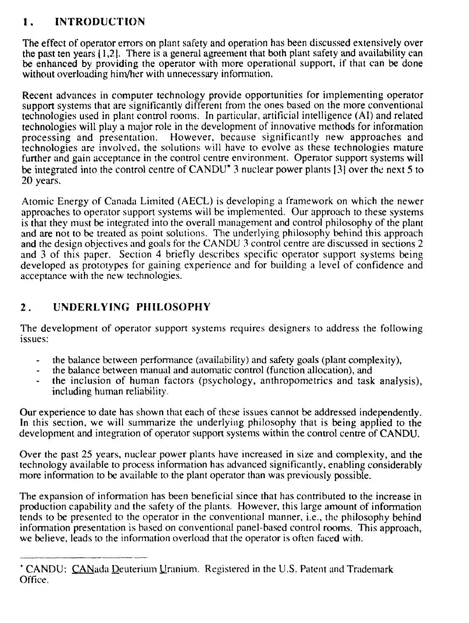# **1. INTRODUCTION**

The effect of operator errors on plant safety and operation has been discussed extensively over the past ten years [1,21. There is a general agreement that both plant safety and availability can be enhanced by providing the operator with more operational support, if that can be done without overloading him/her with unnecessary information.

Recent advances in computer technology provide opportunities for implementing operator support systems that are significantly different from the ones based on the more conventional technologies used in plant control rooms. In particular, artificial intelligence (AI) and related technologies will play a major role in the development of innovative methods for information processing and presentation. However, because significantly new approaches and technologies are involved, the solutions will have to evolve as these technologies mature further and gain acceptance in the control centre environment. Operator support systems will be integrated into the control centre of CANDU\* 3 nuclear power plants |3) over the next 5 to 20 years.

Atomic Energy of Canada Limited (AECL) is developing a framework on which the newer approaches to operator support systems will be implemented. Our approach to these systems is that they must be integrated into the overall management and control philosophy of the plant and are not to be treated as point solutions. The underlying philosophy behind this approach and the design objectives and goals for the CANDU 3 control centre are discussed in sections 2 and 3 of this paper. Section 4 briefly describes specific operator support systems being developed as prototypes for gaining experience and for building a level of confidence and acceptance with the new technologies.

# **2 . UNDERLYING PHILOSOPHY**

The development of operator support systems requires designers to address the following issues:

- the balance between performance (availability) and safety goals (plant complexity),
- the balance between manual and automatic control (function allocation), and
- the inclusion of human factors (psychology, anthropometries and task analysis), including human reliability.

Our experience to date has shown that each of these issues cannot be addressed independently. In this section, we will summarize the underlying philosophy that is being applied to the development and integration of operator support systems within the control centre of CANDU.

Over the past 25 years, nuclear power plants have increased in size and complexity, and the technology available to process information has advanced significantly, enabling considerably more information to be available to the plant operator than was previously possible.

The expansion of information has been beneficial since that has contributed to the increase in production capability and the safety of the plants. However, this large amount of information tends to be presented to the operator in the conventional manner, i.e., the philosophy behind information presentation is based on conventional panel-based control rooms. This approach, we believe, leads to the information overload that the operator is often faced with.

<sup>&#</sup>x27; CANDU: CANada Deuterium Uranium. Registered in the U.S. Patent and Trademark Office.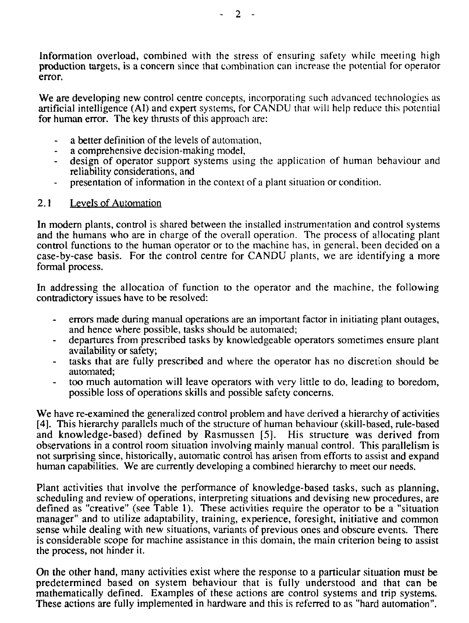Information overload, combined with the stress of ensuring safety while meeting high production targets, is a concern since that combination can increase the potential for operator error.

We are developing new control centre concepts, incorporating such advanced technologies as artificial intelligence (AI) and expert systems, for CANDU that will help reduce this potential for human error. The key thrusts of this approach are:

- a better definition of the levels of automation,
- a comprehensive decision-making model,
- design of operator support systems using the application of human behaviour and reliability considerations, and
- presentation of information in the context of a plant situation or condition.

### 2.1 Levels of Automation

In modern plants, control is shared between the installed instrumentation and control systems and the humans who are in charge of the overall operation. The process of allocating plant control functions to the human operator or to the machine has, in general, been decided on a case-by-case basis. For the control centre for CANDU plants, we are identifying a more formal process.

In addressing the allocation of function to the operator and the machine, the following contradictory issues have to be resolved:

- errors made during manual operations are an important factor in initiating plant outages, and hence where possible, tasks should be automated;
- departures from prescribed tasks by knowledgeable operators sometimes ensure plant availability or safety;
- tasks that are fully prescribed and where the operator has no discretion should be automated;
- too much automation will leave operators with very little to do, leading to boredom, possible loss of operations skills and possible safety concerns.

We have re-examined the generalized control problem and have derived a hierarchy of activities [4]. This hierarchy parallels much of the structure of human behaviour (skill-based, rule-based and knowledge-based) defined by Rasmussen [5]. His structure was derived from observations in a control room situation involving mainly manual control. This parallelism is not surprising since, historically, automatic control has arisen from efforts to assist and expand human capabilities. We are currently developing a combined hierarchy to meet our needs.

Plant activities that involve the performance of knowledge-based tasks, such as planning, scheduling and review of operations, interpreting situations and devising new procedures, are defined as "creative" (see Table 1). These activities require the operator to be a "situation manager" and to utilize adaptability, training, experience, foresight, initiative and common sense while dealing with new situations, variants of previous ones and obscure events. There is considerable scope for machine assistance in this domain, the main criterion being to assist the process, not hinder it.

On the other hand, many activities exist where the response to a particular situation must be predetermined based on system behaviour that is fully understood and that can be mathematically defined. Examples of these actions are control systems and trip systems. These actions are fully implemented in hardware and this is referred to as "hard automation".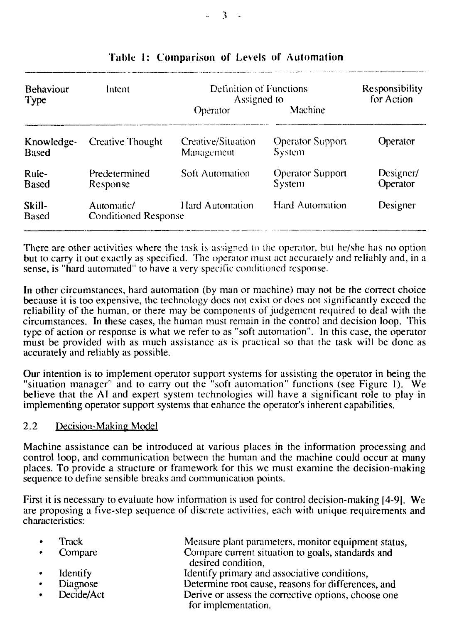| <b>Behaviour</b><br>Type   | Intent                                    | Definition of Functions<br>Assigned to |                                   | Responsibility<br>for Action |
|----------------------------|-------------------------------------------|----------------------------------------|-----------------------------------|------------------------------|
|                            |                                           | Operator                               | Machine                           |                              |
| Knowledge-<br><b>Based</b> | Creative Thought                          | Creative/Situation<br>Management       | <b>Operator Support</b><br>System | Operator                     |
| Rule-<br><b>Based</b>      | Predetermined<br>Response                 | Soft Automation                        | <b>Operator Support</b><br>System | Designer/<br>Operator        |
| Skill-<br><b>Based</b>     | Automatic/<br><b>Conditioned Response</b> | Hard Automation                        | Hard Automation                   | Designer                     |

### Table 1: Comparison of Levels of Automation

There are other activities where the task is assigned to the operator, but he/she has no option but to carry it out exactly as specified. The operator must act accurately and reliably and, in a sense, is "hard automated" to have a very specific conditioned response.

In other circumstances, hard automation (by man or machine) may not be the correct choice because it is too expensive, the technology does not exist or does not significantly exceed the reliability of the human, or there may be components of judgement required to deal with the circumstances. In these cases, the human must remain in the control and decision loop. This type of action or response is what we refer to as "soft automation". In this case, the operator must be provided with as much assistance as is practical so that the task will be done as accurately and reliably as possible.

Our intention is to implement operator support systems for assisting the operator in being the "situation manager" and to carry out the "soft automation" functions (see Figure 1). We believe that the AI and expert system technologies will have a significant role to play in implementing operator support systems that enhance the operator's inherent capabilities.

#### 2.2 Decision-Making Model

Machine assistance can be introduced at various places in the information processing and control loop, and communication between the human and the machine could occur at many places. To provide a structure or framework for this we must examine the decision-making sequence to define sensible breaks and communication points.

First it is necessary to evaluate how information is used for control decision-making |4-9|. We are proposing a five-step sequence of discrete activities, each with unique requirements and characteristics:

| Track      | Measure plant parameters, monitor equipment status,                        |
|------------|----------------------------------------------------------------------------|
| Compare    | Compare current situation to goals, standards and<br>desired condition,    |
| Identify   | Identify primary and associative conditions,                               |
| Diagnose   | Determine root cause, reasons for differences, and                         |
| Decide/Act | Derive or assess the corrective options, choose one<br>for implementation. |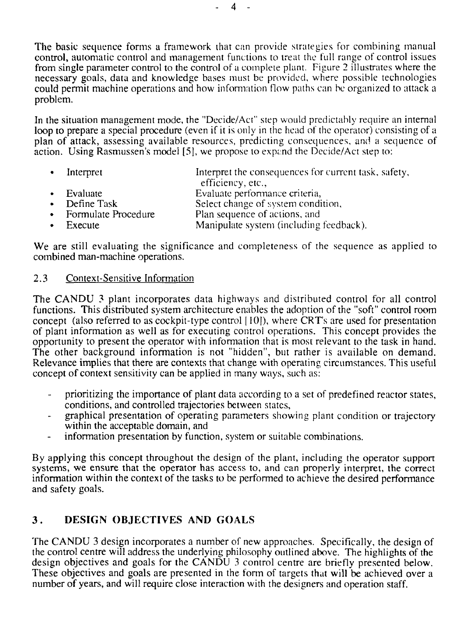The basic sequence forms a framework that can provide strategies for combining manual control, automatic control and management functions to treat the full range of control issues from single parameter control to the control of a complete plant. Figure 2 illustrates where the necessary goals, data and knowledge bases must be provided, where possible technologies could permit machine operations and how information How paths can be organized to attack a problem.

In the situation management mode, the "Decide/Act" step would predictably require an internal loop to prepare a special procedure (even if it is only in the head of the operator) consisting of a plan of attack, assessing available resources, predicting consequences, and a sequence of action. Using Rasmussen's model [5], we propose to expand the Decide/Act step to:

| • Interpret           | Interpret the consequences for current task, safety,<br>efficiency, etc., |
|-----------------------|---------------------------------------------------------------------------|
| $\bullet$ Evaluate    | Evaluate performance criteria,                                            |
| • Define Task         | Select change of system condition,                                        |
| • Formulate Procedure | Plan sequence of actions, and                                             |
| $\bullet$ Execute     | Manipulate system (including feedback).                                   |

We are still evaluating the significance and completeness of the sequence as applied to combined man-machine operations.

#### 2.3 Context-Sensitive Information

The CANDU 3 plant incorporates data highways and distributed control for all control functions. This distributed system architecture enables the adoption of the "soft" control room concept (also referred to as cockpit-type control [ 10]), where CRT's are used for presentation of plant information as well as for executing control operations. This concept provides the opportunity to present the operator with information that is most relevant to the task in hand. The other background information is not "hidden", but rather is available on demand. Relevance implies that there are contexts that change with operating circumstances. This useful concept of context sensitivity can be applied in many ways, such as:

- prioritizing the importance of plant data according to a set of predefined reactor states, conditions, and controlled trajectories between states,
- graphical presentation of operating parameters showing plant condition or trajectory within the acceptable domain, and
- information presentation by function, system or suitable combinations.  $\omega_{\rm{max}}$

By applying this concept throughout the design of the plant, including the operator support systems, we ensure that the operator has access to, and can properly interpret, the correct information within the context of the tasks to be performed to achieve the desired performance and safety goals.

# **3 . DESIGN OBJECTIVES AND GOALS**

The CANDU 3 design incorporates a number of new approaches. Specifically, the design of the control centre will address the underlying philosophy outlined above. The highlights of the design objectives and goals for the CANDU 3 control centre are briefly presented below. These objectives and goals are presented in the form of targets that will be achieved over a number of years, and will require close interaction with the designers and operation staff.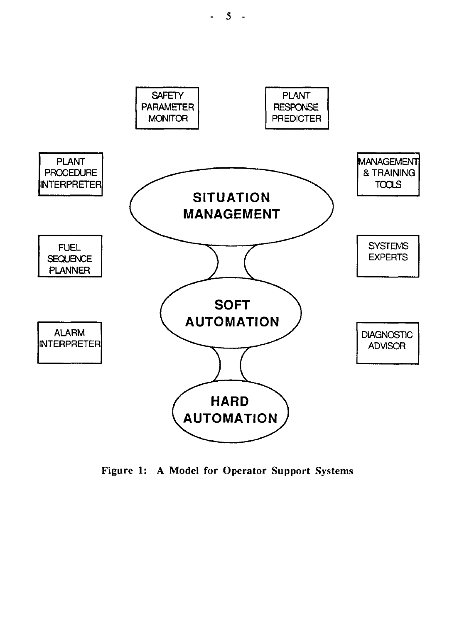

Figure 1: A Model for Operator Support Systems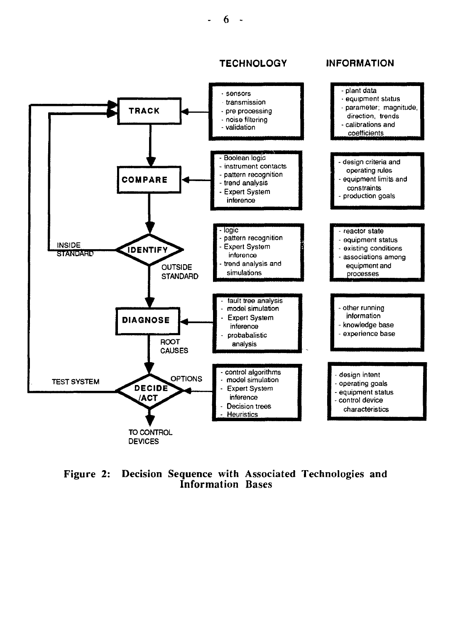6

#### **TECHNOLOGY INFORMATION**



Figure 2: Decision Sequence with Associated Technologies and Information Bases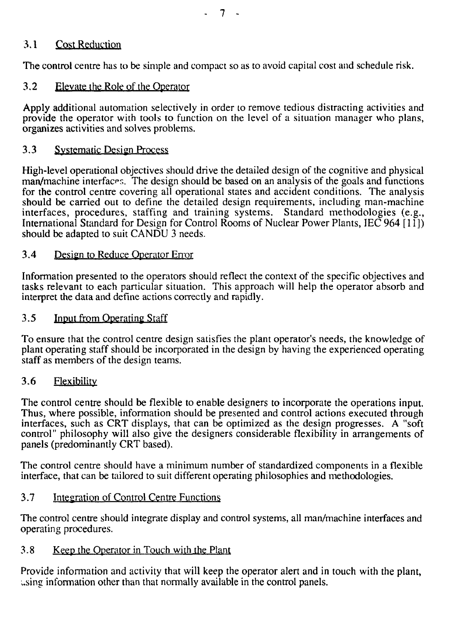### 3.1 Cost Redaction

The control centre has to be simple and compact so as to avoid capital cost and schedule risk.

### 3.2 Elevate the Role of the Operator

Apply additional automation selectively in order to remove tedious distracting activities and provide the operator with tools to function on the level of a situation manager who plans, organizes activities and solves problems.

### 3.3 Systematic Design Process

High-level operational objectives should drive the detailed design of the cognitive and physical man/machine interfaces. The design should be based on an analysis of the goals and functions for the control centre covering all operational states and accident conditions. The analysis should be carried out to define the detailed design requirements, including man-machine interfaces, procedures, staffing and training systems. Standard methodologies (e.g., International Standard for Design for Control Rooms of Nuclear Power Plants, IEC 964 [11]) should be adapted to suit CANDU 3 needs.

#### 3.4 Design to Reduce Operator Error

Information presented to the operators should reflect the context of the specific objectives and tasks relevant to each particular situation. This approach will help the operator absorb and interpret the data and define actions correctly and rapidly.

#### 3.5 Input from Operating Staff

To ensure that the control centre design satisfies the plant operator's needs, the knowledge of plant operating staff should be incorporated in the design by having the experienced operating staff as members of the design teams.

### 3.6 Flexibility

The control centre should be flexible to enable designers to incorporate the operations input. Thus, where possible, information should be presented and control actions executed through interfaces, such as CRT displays, that can be optimized as the design progresses. A "soft control" philosophy will also give the designers considerable flexibility in arrangements of panels (predominantly CRT based).

The control centre should have a minimum number of standardized components in a flexible interface, that can be tailored to suit different operating philosophies and methodologies.

### 3.7 Integration of Control Centre Functions

The control centre should integrate display and control systems, all man/machine interfaces and operating procedures.

#### 3.8 Keep the Operator in Touch with the Plant

Provide information and activity that will keep the operator alert and in touch with the plant, using information other than that normally available in the control panels.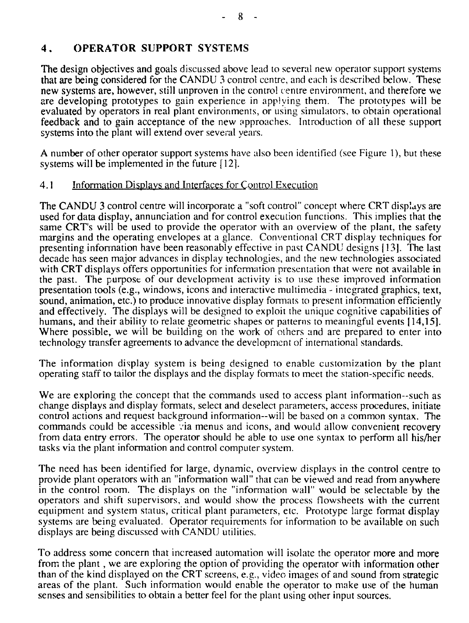# **4 . OPERATOR SUPPORT SYSTEMS**

**The** design objectives and goals discussed above lead to several new operator support systems **that** are being considered for the CANDU 3 control centre, and each is described below. These new systems are, however, still unproven in the control centre environment, and therefore we are developing prototypes to gain experience in applying them. The prototypes will be evaluated by operators in real plant environments, or using simulators, to obtain operational feedback and to gain acceptance of the new approaches. Introduction of all these support systems into the plant will extend over several years.

A number of other operator support systems have also been identified (see Figure 1), but these systems will be implemented in the future [12].

#### 4.1 Information Displays and Interfaces for Control Execution

The CANDU 3 control centre will incorporate a "soft control" concept where CRT displays are used for data display, annunciation and for control execution functions. This implies that the same CRT's will be used to provide the operator with an overview of the plant, the safety margins and the operating envelopes at a glance. Conventional CRT display techniques for presenting information have been reasonably effective in past CANDU designs [13]. The last decade has seen major advances in display technologies, and the new technologies associated with CRT displays offers opportunities for information presentation that were not available in the past. The purpose of our development activity is to use these improved information presentation tools (e.g., windows, icons and interactive multimedia - integrated graphics, text, sound, animation, etc.) to produce innovative display formats to present information efficiently and effectively. The displays will be designed to exploit the unique cognitive capabilities of humans, and their ability to relate geometric shapes or patterns to meaningful events [14,15]. Where possible, we will be building on the work of others and are prepared to enter into technology transfer agreements to advance the development of international standards.

The information display system is being designed to enable customization by the plant operating staff to tailor the displays and the display formats to meet the station-specific needs.

We are exploring the concept that the commands used to access plant information—such as change displays and display formats, select and deselect parameters, access procedures, initiate control actions and request background information—will be based on a common syntax. The commands could be accessible via menus and icons, and would allow convenient recovery from data entry errors. The operator should be able to use one syntax to perform all his/her tasks via the plant information and control computer system.

The need has been identified for large, dynamic, overview displays in the control centre to provide plant operators with an "information wall" that can be viewed and read from anywhere in the control room. The displays on the "information wall" would be selectable by the operators and shift supervisors, and would show the process flowsheets with the current equipment and system status, critical plant parameters, etc. Prototype large format display systems are being evaluated. Operator requirements for information to be available on such displays are being discussed with CANDU utilities.

To address some concern that increased automation will isolate the operator more and more from the plant, we are exploring the option of providing the operator with information other than of the kind displayed on the CRT screens, e.g., video images of and sound from strategic areas of the plant. Such information would enable the operator to make use of the human senses and sensibilities to obtain a better feel for the plant using other input sources.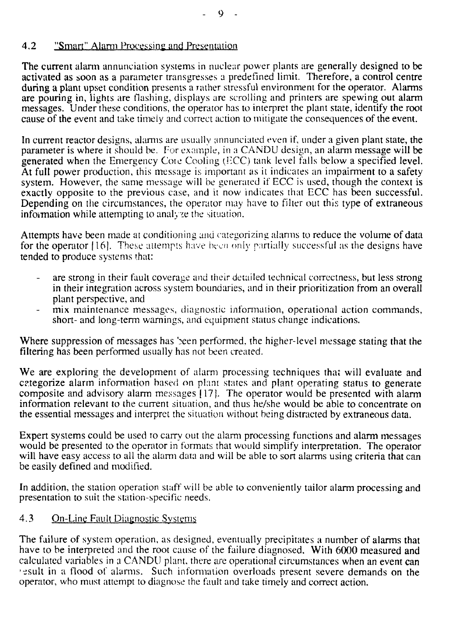# 4.2 "Smart" Alarm Processing and Presentation

The current alarm annunciation systems in nuclear power plants are generally designed to be activated as soon as a parameter transgresses a predefined limit. Therefore, a control centre during a plant upset condition presents a rather stressful environment for the operator. Alarms are pouring in, lights are flashing, displays are scrolling and printers are spewing out alarm messages. Under these conditions, the operator has to interpret the plant state, identify the root cause of the event and take timely and correct action to mitigate the consequences of the event.

In current reactor designs, alarms are usually annunciated even if, under a given plant state, the parameter is where it should be. For example, in a CANDU design, an alarm message will be generated when the Emergency Core Cooling (HCC) tank level falls below a specified level. At full power production, this message is important as it indicates an impairment to a safety system. However, the same message will be generated if ECC is used, though the context is exactly opposite to the previous case, and it now indicates that ECC has been successful. Depending on the circumstances, the operator may have to filter out this type of extraneous information while attempting to analyze the situation.

Attempts have been made at conditioning and categorizing alarms to reduce the volume of data for the operator  $[16]$ . These attempts have been only partially successful as the designs have tended to produce systems that:

- are strong in their fault coverage and their detailed technical correctness, but less strong in their integration across system boundaries, and in their prioritization from an overall plant perspective, and
- mix maintenance messages, diagnostic information, operational action commands, short- and long-term warnings, and equipment status change indications.

Where suppression of messages has been performed, the higher-level message stating that the filtering has been performed usually has not been created.

We are exploring the development of alarm processing techniques that will evaluate and categorize alarm information based on plant states and plant operating status to generate composite and advisory alarm messages 117}. The operator would be presented with alarm information relevant to the current situation, and thus he/she would be able to concentrate on the essential messages and interpret the situation without being distracted by extraneous data.

Expert systems could be used to carry out the alarm processing functions and alarm messages would be presented to the operator in formats that would simplify interpretation. The operator will have easy access to all the alarm data and will be able to sort alarms using criteria that can be easily defined and modified.

In addition, the station operation staff will be able to conveniently tailor alarm processing and presentation to suit the station-specific needs.

# 4.3 On-Line Fault Diagnostic Systems

The failure of system operation, as designed, eventually precipitates a number of alarms that have to be interpreted and the root cause of the failure diagnosed. With 6000 measured and calculated variables in a CANDU plant, there arc operational circumstances when an event can •esult in a flood of alarms. Such information overloads present severe demands on the operator, who must attempt to diagnose the fault and take timely and correct action.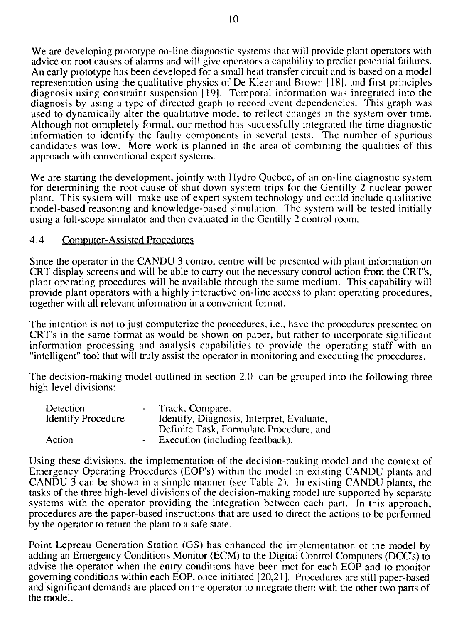We are developing prototype on-line diagnostic systems that will provide plant operators with advice on root causes of alaims and will give operators a capability to predict potential failures. An early prototype has been developed for a small heat transfer circuit and is based on a model representation using the qualitative physics of De Kleer and Brown [ 18|, and first-principles diagnosis using constraint suspension |19]. Temporal information was integrated into the diagnosis by using a type of directed graph to record event dependencies. This graph was used to dynamically alter the qualitative model to reflect changes in the system over time. Although not completely formal, our method has successfully integrated the time diagnostic information to identify the faulty components in several tests. The number of spurious candidates was low. More work is planned in the area of combining the qualities of this approach with conventional expert systems.

We are starting the development, jointly with Hydro Quebec, of an on-line diagnostic system for determining the root cause of shut down system trips for the Gentilly 2 nuclear power plant. This system will make use of expert system technology and could include qualitative model-based reasoning and knowledge-based simulation. The system will be tested initially using a full-scope simulator and then evaluated in the Gentilly 2 control room.

#### 4.4 Computer-Assisted Procedures

Since the operator in the CANDU 3 control centre will be presented with plant information on CRT display screens and will be able to carry out the necessary control action from the CRT's, plant operating procedures will be available through the same medium. This capability will provide plant operators with a highly interactive on-line access to plant operating procedures, together with all relevant information in a convenient format.

The intention is not to just computerize the procedures, i.e., have the procedures presented on CRT's in the same format as would be shown on paper, but rather to incorporate significant information processing and analysis capabilities to provide the operating staff with an "intelligent" tool that will truly assist the operator in monitoring and executing the procedures.

The decision-making model outlined in section 2.0 can be grouped into the following three high-level divisions:

| Detection                 |                | Track, Compare,                           |
|---------------------------|----------------|-------------------------------------------|
| <b>Identify Procedure</b> |                | Identify, Diagnosis, Interpret, Evaluate, |
|                           |                | Definite Task, Formulate Procedure, and   |
| Action                    | $\blacksquare$ | Execution (including feedback).           |

Using these divisions, the implementation of the decision-making model and the context of Emergency Operating Procedures (EOP's) within the model in existing CANDU plants and CANDU 3 can be shown in a simple manner (see Table 2). In existing CANDU plants, the tasks of the three high-level divisions of the decision-making model are supported by separate systems with the operator providing the integration between each part. In this approach, procedures are the paper-based instructions that are used to direct the actions to be performed by the operator to return the plant to a safe state.

Point Lepreau Generation Station (GS) has enhanced the implementation of the model by adding an Emergency Conditions Monitor (ECM) to the Digital Control Computers (DCC's) to advise the operator when the entry conditions have been met for each EOP and to monitor governing conditions within each EOP, once initiated 120,21 ]. Procedures are still paper-based and significant demands are placed on the operator to integrate them, with the other two parts of the model.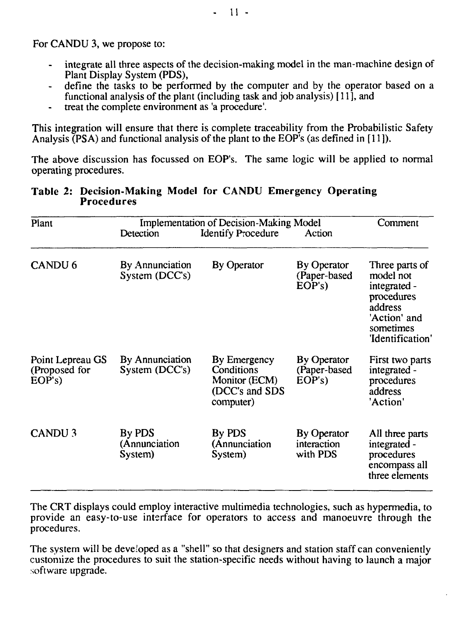For CANDU 3, we propose to:

- integrate all three aspects of the decision-making model in the man-machine design of Plant Display System (PDS),
- define the tasks to be performed by the computer and by the operator based on a functional analysis of the plant (including task and job analysis) [11], and
- treat the complete environment as 'a procedure'.  $\bullet$  .

This integration will ensure that there is complete traceability from the Probabilistic Safety Analysis  $(PSA)$  and functional analysis of the plant to the EOP's (as defined in [11]).

The above discussion has focussed on EOP's. The same logic will be applied to normal operating procedures.

#### **Table 2: Decision-Making Model for CANDU Emergency Operating Procedures**

| Plant                                      | <b>Implementation of Decision-Making Model</b> | Comment                                                                    |                                             |                                                                                                                       |
|--------------------------------------------|------------------------------------------------|----------------------------------------------------------------------------|---------------------------------------------|-----------------------------------------------------------------------------------------------------------------------|
|                                            | Detection                                      | <b>Identify Procedure</b>                                                  | Action                                      |                                                                                                                       |
| CANDU <sub>6</sub>                         | By Annunciation<br>System (DCC's)              | <b>By Operator</b>                                                         | By Operator<br>(Paper-based<br>EOP's        | Three parts of<br>model not<br>integrated -<br>procedures<br>address<br>'Action' and<br>sometimes<br>'Identification' |
| Point Lepreau GS<br>(Proposed for<br>EOP's | By Annunciation<br>System (DCC's)              | By Emergency<br>Conditions<br>Monitor (ECM)<br>(DCC's and SDS<br>computer) | <b>By Operator</b><br>(Paper-based<br>EOP's | First two parts<br>integrated -<br>procedures<br>address<br>'Action'                                                  |
| CANDU <sub>3</sub>                         | By PDS<br>(Annunciation<br>System)             | By PDS<br>(Annunciation<br>System)                                         | By Operator<br>interaction<br>with PDS      | All three parts<br>integrated -<br>procedures<br>encompass all<br>three elements                                      |

The CRT displays could employ interactive multimedia technologies, such as hypermedia, to provide an easy-to-use interface for operators to access and manoeuvre through the procedures.

The system will be developed as a "shell" so that designers and station staff can conveniently customize the procedures to suit the station-specific needs without having to launch a major software upgrade.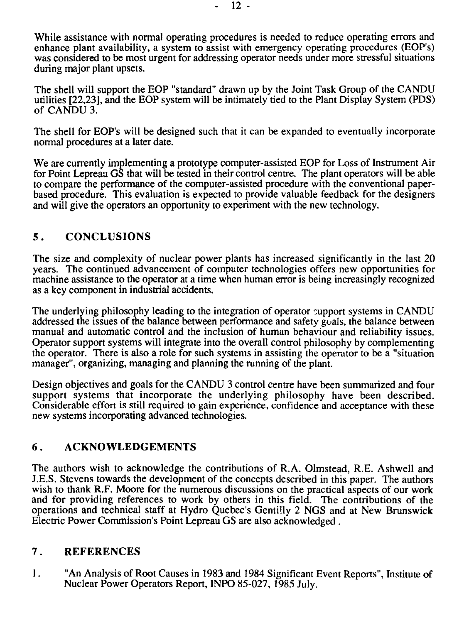While assistance with normal operating procedures is needed to reduce operating errors and enhance plant availability, a system to assist with emergency operating procedures (EOP's) was considered to be most urgent for addressing operator needs under more stressful situations during major plant upsets.

The shell will support the EOP "standard" drawn up by the Joint Task Group of the CANDU utilities [22,23], and the EOP system will be intimately tied to the Plant Display System (PDS) of CANDU 3.

The shell for EOP's will be designed such that it can be expanded to eventually incorporate normal procedures at a later date.

We are currently implementing a prototype computer-assisted EOP for Loss of Instrument Air for Point Lepreau GS that will be tested in their control centre. The plant operators will be able to compare the performance of the computer-assisted procedure with the conventional paperbased procedure. This evaluation is expected to provide valuable feedback for the designers and will give the operators an opportunity to experiment with the new technology.

### 5 . **CONCLUSIONS**

The size and complexity of nuclear power plants has increased significantly in the last 20 years. The continued advancement of computer technologies offers new opportunities for machine assistance to the operator at a time when human error is being increasingly recognized as a key component in industrial accidents.

The underlying philosophy leading to the integration of operator support systems in CANDU addressed the issues of die balance between performance and safety goals, the balance between manual and automatic control and the inclusion of human behaviour and reliability issues. Operator support systems will integrate into the overall control philosophy by complementing the operator. There is also a role for such systems in assisting the operator to be a "situation manager", organizing, managing and planning the running of the plant.

Design objectives and goals for the CANDU 3 control centre have been summarized and four support systems that incorporate the underlying philosophy have been described. Considerable effort is still required to gain experience, confidence and acceptance with these new systems incorporating advanced technologies.

### **6** . **ACKNOWLEDGEMENTS**

The authors wish to acknowledge the contributions of R.A. Olmstead, R.E. Ashwell and J.E.S. Stevens towards the development of the concepts described in this paper. The authors wish to thank R.F. Moore for the numerous discussions on the practical aspects of our work and for providing references to work by others in this field. The contributions of the operations and technical staff at Hydro Quebec's Gentilly 2 NGS and at New Brunswick Electric Power Commission's Point Lepreau GS are also acknowledged.

### **7. REFERENCES**

**1**. "An Analysis of Root Causes in 1983 and 1984 Significant Event Reports", Institute of Nuclear Power Operators Report, INPO 85-027, 1985 July.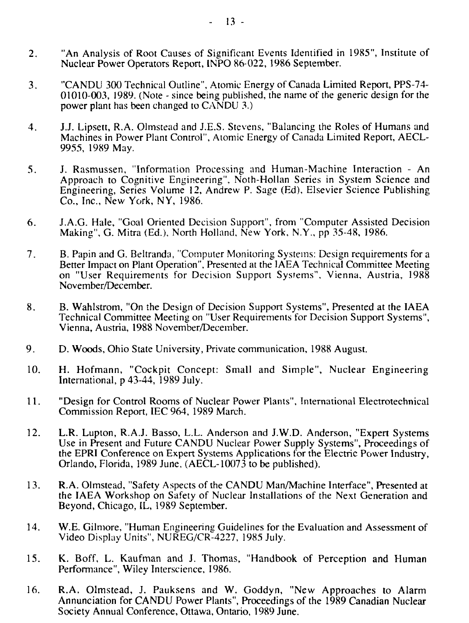- 2. "An Analysis of Root Causes of Significant Events Identified in 1985", Institute of Nuclear Power Operators Report, INPO 86-022, 1986 September.
- 3. "CANDU 300 Technical Outline", Atomic Energy of Canada Limited Report, PPS-74- 01010-003, 1989. (Note - since being published, the name of the generic design for the power plant has been changed to CANDU 3.)
- 4. J.J. Lipsett, R.A. Olmstead and J.E.S. Stevens, "Balancing the Roles of Humans and Machines in Power Plant Control", Atomic Energy of Canada Limited Report, AECL-9955, 1989 May.
- 5. J. Rasmussen, "Information Processing and Human-Machine Interaction An Approach to Cognitive Engineering", Noth-Hollan Series in System Science and Engineering, Series Volume 12, Andrew P. Sage (Ed), Elsevier Science Publishing Co., Inc., New York, NY, 1986.
- 6. J.A.G. Hale, "Goal Oriented Decision Support", from "Computer Assisted Decision Making", G. Mitra (Ed.), North Holland, New York, N.Y., pp 35-48, 1986.
- 7. B. Papin and G. Beltranda, "Computer Monitoring Systems: Design requirements fora Better Impact on Plant Operation", Presented at the IAEA Technical Committee Meeting on "User Requirements for Decision Support Systems", Vienna, Austria, 1988 November/December.
- 8. B. Wahlstrom, "On the Design of Decision Support Systems", Presented at the IAEA Technical Committee Meeting on "User Requirements for Decision Support Systems", Vienna, Austria, 1988 November/December.
- 9. D. Woods, Ohio State University, Private communication, 1988 August.
- 10. H. Hofmann, "Cockpit Concept: Small and Simple", Nuclear Engineering International, p 43-44, 1989 July.
- 11. "Design for Control Rooms of Nuclear Power Plants", International Electrotechnical Commission Report, IEC 964, 1989 March.
- 12. L.R. Lupton, R.A.J. Basso, L.L. Anderson and J.W.D. Anderson, "Expert Systems Use in Present and Future CANDU Nuclear Power Supply Systems", Proceedings of the EPRI Conference on Expert Systems Applications for the Electric Power Industry, Orlando, Florida, 1989 June, (AECL-10073 to be published).
- 13. R.A. Olmstead, "Safety Aspects of the CANDU Man/Machine Interface", Presented at the IAEA Workshop on Safety of Nuclear Installations of the Next Generation and Beyond, Chicago, IL, 1989 September.
- 14. W.E. Gilmore, "Human Engineering Guidelines for the Evaluation and Assessment of Video Display Units", NUREG/CR-4227, 1985 July.
- 15. K. Boff, L. Kaufman and J. Thomas, "Handbook of Perception and Human Performance", Wiley Interscience, 1986.
- 16. R.A. Olmstead, J. Pauksens and W. Goddyn, "New Approaches to Alarm Annunciation for CANDU Power Plants", Proceedings of the 1989 Canadian Nuclear Society Annual Conference, Ottawa, Ontario, 1989 June.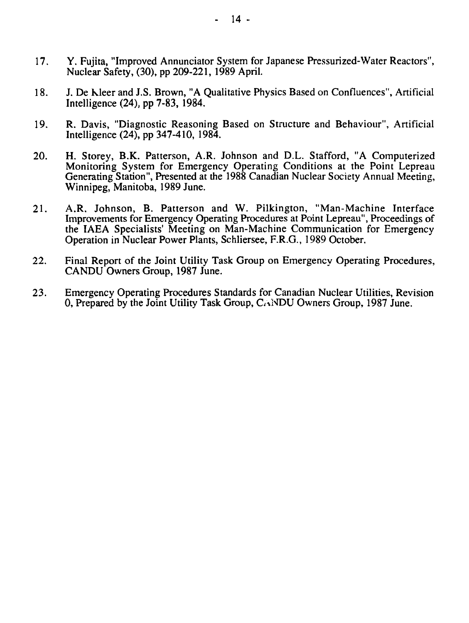- 17. Y. Fujita, "Improved Annunciator System for Japanese Pressurized-Water Reactors", Nuclear Safety, (30), pp 209-221, 1989 April.
- 18. J. De kleer and J.S. Brown, "A Qualitative Physics Based on Confluences", Artificial Intelligence (24), pp 7-83,1984.
- 19. R. Davis, "Diagnostic Reasoning Based on Structure and Behaviour", Artificial Intelligence (24), pp 347-410, 1984.
- 20. H. Storey, B.K. Patterson, A.R. Johnson and D.L. Stafford, "A Computerized Monitoring System for Emergency Operating Conditions at the Point Lepreau Generating Station", Presented at the 1988 Canadian Nuclear Society Annual Meeting, Winnipeg, Manitoba, 1989 June.
- 21. A.R. Johnson, B. Patterson and W. Pilkington, "Man-Machine Interface Improvements for Emergency Operating Procedures at Point Lepreau", Proceedings of the IAEA Specialists' Meeting on Man-Machine Communication for Emergency Operation in Nuclear Power Plants, Schliersee, F.R.G., 1989 October.
- 22. Final Report of the Joint Utility Task Group on Emergency Operating Procedures, CANDU Owners Group, 1987 June.
- 23. Emergency Operating Procedures Standards for Canadian Nuclear Utilities, Revision 0, Prepared by the Joint Utility Task Group, CANDU Owners Group, 1987 June.